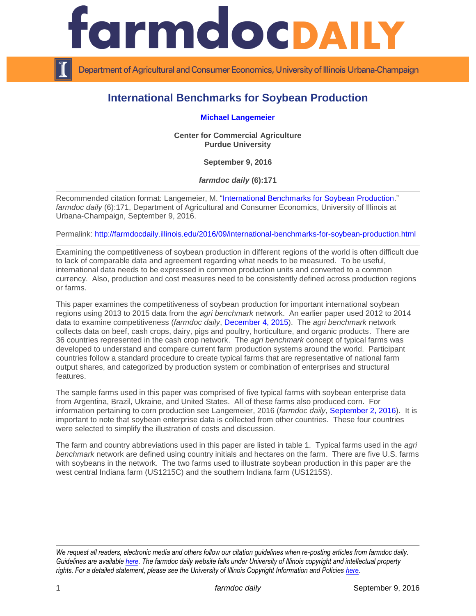

Department of Agricultural and Consumer Economics, University of Illinois Urbana-Champaign

# **International Benchmarks for Soybean Production**

**[Michael Langemeier](https://ag.purdue.edu/commercialag/Pages/Faculty-Staff/Langemeier.aspx)**

**Center for Commercial Agriculture Purdue University**

**September 9, 2016**

*farmdoc daily* **(6):171**

Recommended citation format: Langemeier, M. ["International Benchmarks for Soybean Production.](http://farmdocdaily.illinois.edu/2016/09/international-benchmarks-for-soybean-production.html)" *farmdoc daily* (6):171, Department of Agricultural and Consumer Economics, University of Illinois at Urbana-Champaign, September 9, 2016.

Permalink:<http://farmdocdaily.illinois.edu/2016/09/international-benchmarks-for-soybean-production.html>

Examining the competitiveness of soybean production in different regions of the world is often difficult due to lack of comparable data and agreement regarding what needs to be measured. To be useful, international data needs to be expressed in common production units and converted to a common currency. Also, production and cost measures need to be consistently defined across production regions or farms.

This paper examines the competitiveness of soybean production for important international soybean regions using 2013 to 2015 data from the *agri benchmark* network. An earlier paper used 2012 to 2014 data to examine competitiveness (*farmdoc daily*, [December 4, 2015\)](http://farmdocdaily.illinois.edu/2015/12/international-benchmarks-for-soybean-production.html). The *agri benchmark* network collects data on beef, cash crops, dairy, pigs and poultry, horticulture, and organic products. There are 36 countries represented in the cash crop network. The *agri benchmark* concept of typical farms was developed to understand and compare current farm production systems around the world. Participant countries follow a standard procedure to create typical farms that are representative of national farm output shares, and categorized by production system or combination of enterprises and structural features.

The sample farms used in this paper was comprised of five typical farms with soybean enterprise data from Argentina, Brazil, Ukraine, and United States. All of these farms also produced corn. For information pertaining to corn production see Langemeier, 2016 (*farmdoc daily*, [September 2, 2016\)](http://farmdocdaily.illinois.edu/2016/09/international-benchmarks-for-corn-production.html). It is important to note that soybean enterprise data is collected from other countries. These four countries were selected to simplify the illustration of costs and discussion.

The farm and country abbreviations used in this paper are listed in table 1. Typical farms used in the *agri benchmark* network are defined using country initials and hectares on the farm. There are five U.S. farms with soybeans in the network. The two farms used to illustrate soybean production in this paper are the west central Indiana farm (US1215C) and the southern Indiana farm (US1215S).

*We request all readers, electronic media and others follow our citation guidelines when re-posting articles from farmdoc daily. Guidelines are available [here.](http://farmdocdaily.illinois.edu/citationguide.html) The farmdoc daily website falls under University of Illinois copyright and intellectual property rights. For a detailed statement, please see the University of Illinois Copyright Information and Policies [here.](http://www.cio.illinois.edu/policies/copyright/)*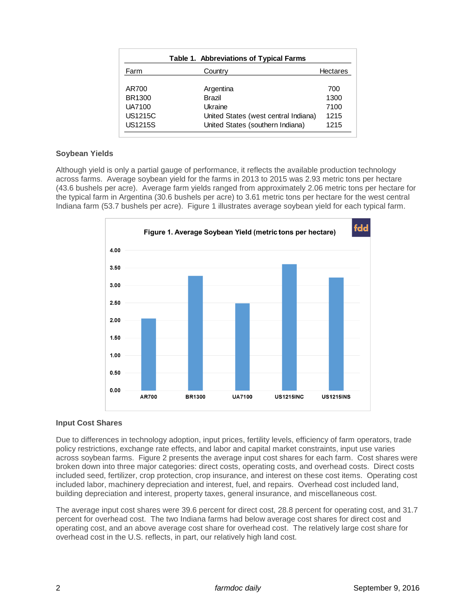| <b>Table 1. Abbreviations of Typical Farms</b> |                                      |                 |
|------------------------------------------------|--------------------------------------|-----------------|
| Farm                                           | Country                              | <b>Hectares</b> |
| AR700                                          | Argentina                            | 700             |
| BR1300                                         | Brazil                               | 1300            |
| <b>UA7100</b>                                  | Ukraine                              | 7100            |
| <b>US1215C</b>                                 | United States (west central Indiana) | 1215            |
| <b>US1215S</b>                                 | United States (southern Indiana)     | 1215            |

### **Soybean Yields**

Although yield is only a partial gauge of performance, it reflects the available production technology across farms. Average soybean yield for the farms in 2013 to 2015 was 2.93 metric tons per hectare (43.6 bushels per acre). Average farm yields ranged from approximately 2.06 metric tons per hectare for the typical farm in Argentina (30.6 bushels per acre) to 3.61 metric tons per hectare for the west central Indiana farm (53.7 bushels per acre). Figure 1 illustrates average soybean yield for each typical farm.



### **Input Cost Shares**

Due to differences in technology adoption, input prices, fertility levels, efficiency of farm operators, trade policy restrictions, exchange rate effects, and labor and capital market constraints, input use varies across soybean farms. Figure 2 presents the average input cost shares for each farm. Cost shares were broken down into three major categories: direct costs, operating costs, and overhead costs. Direct costs included seed, fertilizer, crop protection, crop insurance, and interest on these cost items. Operating cost included labor, machinery depreciation and interest, fuel, and repairs. Overhead cost included land, building depreciation and interest, property taxes, general insurance, and miscellaneous cost.

The average input cost shares were 39.6 percent for direct cost, 28.8 percent for operating cost, and 31.7 percent for overhead cost. The two Indiana farms had below average cost shares for direct cost and operating cost, and an above average cost share for overhead cost. The relatively large cost share for overhead cost in the U.S. reflects, in part, our relatively high land cost.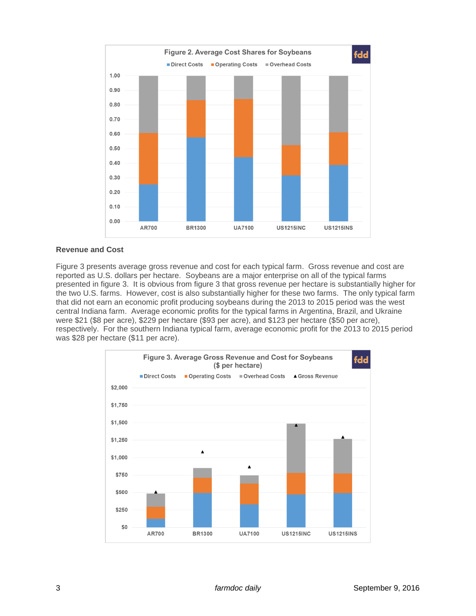

## **Revenue and Cost**

Figure 3 presents average gross revenue and cost for each typical farm. Gross revenue and cost are reported as U.S. dollars per hectare. Soybeans are a major enterprise on all of the typical farms presented in figure 3. It is obvious from figure 3 that gross revenue per hectare is substantially higher for the two U.S. farms. However, cost is also substantially higher for these two farms. The only typical farm that did not earn an economic profit producing soybeans during the 2013 to 2015 period was the west central Indiana farm. Average economic profits for the typical farms in Argentina, Brazil, and Ukraine were \$21 (\$8 per acre), \$229 per hectare (\$93 per acre), and \$123 per hectare (\$50 per acre), respectively. For the southern Indiana typical farm, average economic profit for the 2013 to 2015 period was \$28 per hectare (\$11 per acre).